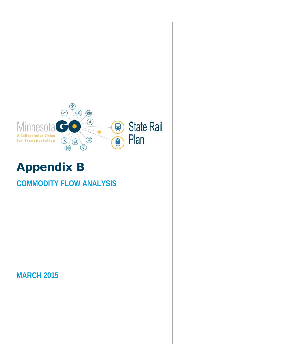

# Appendix B

# **COMMODITY FLOW ANALYSIS**

**MARCH 2015**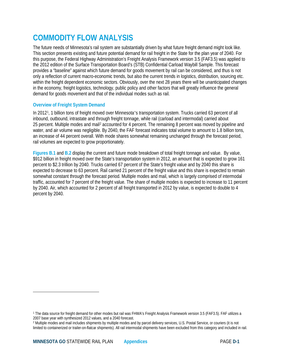# **COMMODITY FLOW ANALYSIS**

The future needs of Minnesota's rail system are substantially driven by what future freight demand might look like. This section presents existing and future potential demand for rail freight in the State for the plan year of 2040. For this purpose, the Federal Highway Administration's Freight Analysis Framework version 3.5 (FAF3.5) was applied to the 2012 edition of the Surface Transportation Board's (STB) Confidential Carload Waybill Sample. This forecast provides a "baseline" against which future demand for goods movement by rail can be considered, and thus is not only a reflection of current macro-economic trends, but also the current trends in logistics, distribution, sourcing etc. within the freight dependent economic sectors. Obviously, over the next 28 years there will be unanticipated changes in the economy, freight logistics, technology, public policy and other factors that will greatly influence the general demand for goods movement and that of the individual modes such as rail.

# **Overview of Freight System Demand**

In 2012[1,](#page-1-0) 1 billion tons of freight moved over Minnesota's transportation system. Trucks carried 63 percent of all inbound, outbound, intrastate and through freight tonnage, while rail (carload and intermodal) carried about 25 percent. Multiple modes and mai[l2](#page-1-1) accounted for 4 percent. The remaining 8 percent was moved by pipeline and water, and air volume was negligible. By 2040, the FAF forecast indicates total volume to amount to 1.8 billion tons, an increase of 44 percent overall. With mode shares somewhat remaining unchanged through the forecast period, rail volumes are expected to grow proportionately.

**Figures B.1** and **B.2** display the current and future mode breakdown of total freight tonnage and value. By value, \$912 billion in freight moved over the State's transportation system in 2012, an amount that is expected to grow 161 percent to \$2.3 trillion by 2040. Trucks carried 67 percent of the State's freight value and by 2040 this share is expected to decrease to 63 percent. Rail carried 21 percent of the freight value and this share is expected to remain somewhat constant through the forecast period. Multiple modes and mail, which is largely comprised of intermodal traffic, accounted for 7 percent of the freight value. The share of multiple modes is expected to increase to 11 percent by 2040. Air, which accounted for 2 percent of all freight transported in 2012 by value, is expected to double to 4 percent by 2040.

l

<span id="page-1-0"></span><sup>1</sup> The data source for freight demand for other modes but rail was FHWA's Freight Analysis Framework version 3.5 (FAF3.5). FAF utilizes a 2007 base year with synthesized 2012 values, and a 2040 forecast.

<span id="page-1-1"></span><sup>&</sup>lt;sup>2</sup> Multiple modes and mail includes shipments by multiple modes and by parcel delivery services, U.S. Postal Service, or couriers (it is not limited to containerized or trailer-on-flatcar shipments). All rail intermodal shipments have been excluded from this category and included in rail.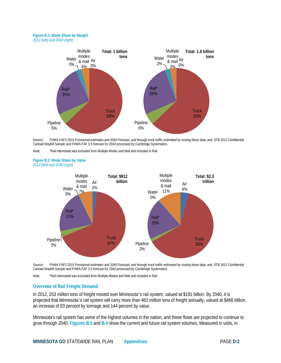#### **Figure B.1: Mode Share by Weight** *2012 (left) and 2040 (right)*



Source: FHWA FAF3 2015 Provisional estimates and 2040 Forecast, and through truck traffic estimated by routing these data; and, STB 2012 Confidential Carload Waybill Sample and FHWA FAF 3.5 forecast for 2040 processed by Cambridge Systematics.

Note: \*Rail intermodal was excluded from Multiple Modes and Mail and included in Rail.

**Figure B.2: Mode Share by Value** *2012 (left) and 2040 (right)*



Source: FHWA FAF3 2015 Provisional estimates and 2040 Forecast, and through truck traffic estimated by routing these data; and, STB 2012 Confidential Carload Waybill Sample and FHWA FAF 3.5 forecast for 2040 processed by Cambridge Systematics.

Note: \*Rail intermodal was excluded from Multiple Modes and Mail and included in Rail.

### **Overview of Rail Freight Demand**

In 2012, 253 million tons of freight moved over Minnesota's rail system, valued at \$191 billion. By 2040, it is projected that Minnesota's rail system will carry more than 463 million tons of freight annually, valued at \$466 billion, an increase of 83 percent by tonnage and 144 percent by value.

Minnesota's rail system has some of the highest volumes in the nation, and these flows are projected to continue to grow through 2040. **Figures B.3** and **B.4** show the current and future rail system volumes. Measured in units, in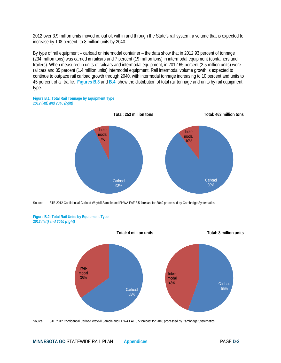2012 over 3.9 million units moved in, out of, within and through the State's rail system, a volume that is expected to increase by 108 percent to 8 million units by 2040.

By type of rail equipment – carload or intermodal container – the data show that in 2012 93 percent of tonnage (234 million tons) was carried in railcars and 7 percent (19 million tons) in intermodal equipment (containers and trailers). When measured in units of railcars and intermodal equipment, in 2012 65 percent (2.5 million units) were railcars and 35 percent (1.4 million units) intermodal equipment. Rail intermodal volume growth is expected to continue to outpace rail carload growth through 2040, with intermodal tonnage increasing to 10 percent and units to 45 percent of all traffic. **Figures B.3** and **B.4** show the distribution of total rail tonnage and units by rail equipment type.





Source: STB 2012 Confidential Carload Waybill Sample and FHWA FAF 3.5 forecast for 2040 processed by Cambridge Systematics.





Source: STB 2012 Confidential Carload Waybill Sample and FHWA FAF 3.5 forecast for 2040 processed by Cambridge Systematics.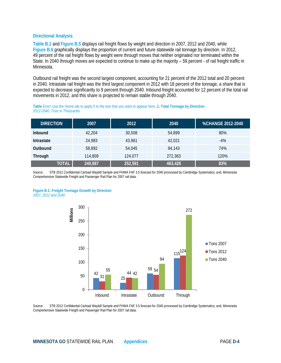### **Directional Analysis**

**Table B.1** and **Figure B.5** displays rail freight flows by weight and direction in 2007, 2012 and 2040, while **Figure B.6** graphically displays the proportion of current and future statewide rail tonnage by direction. In 2012, 49 percent of the rail freight flows by weight were through moves that neither originated nor terminated within the State. In 2040 through moves are expected to continue to make up the majority – 59 percent - of rail freight traffic in Minnesota.

Outbound rail freight was the second largest component, accounting for 21 percent of the 2012 total and 20 percent in 2040. Intrastate rail freight was the third largest component in 2012 with 18 percent of the tonnage, a share that is expected to decrease significantly to 9 percent through 2040. Inbound freight accounted for 12 percent of the total rail movements in 2012, and this share is projected to remain stable through 2040.

# **DIRECTION 2007 2012 2040 %CHANGE 2012-2040 Inbound** 42,204 30,508 54,899 80% **Intrastate** 24,983 43,961 42,021 -4% **Outbound** 58,892 54,045 94,143 74% **Through 114,809 124,077 272,363 120% 120% TOTAL 240,887 252,591 463,426 83%**

**Table** Error! Use the Home tab to apply 0 to the text that you want to appear here.**.1: Total Tonnage by Direction** *2012-2040, Tons in Thousands* 

Source: STB 2012 Confidential Carload Waybill Sample and FHWA FAF 3.5 forecast for 2040 processed by Cambridge Systematics; and, Minnesota Comprehensive Statewide Freight and Passenger Rail Plan for 2007 rail data.





Source: STB 2012 Confidential Carload Waybill Sample and FHWA FAF 3.5 forecast for 2040 processed by Cambridge Systematics; and, Minnesota Comprehensive Statewide Freight and Passenger Rail Plan for 2007 rail data.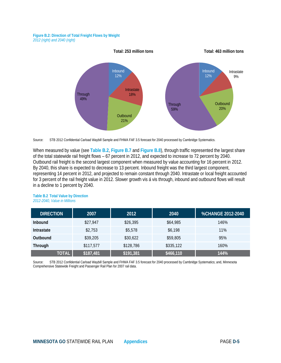#### **Figure B.2: Direction of Total Freight Flows by Weight**  *2012 (right) and 2040 (right)*





When measured by value (see **Table B.2**, **Figure B.7** and **Figure B.8**), through traffic represented the largest share of the total statewide rail freight flows – 67 percent in 2012, and expected to increase to 72 percent by 2040. Outbound rail freight is the second largest component when measured by value accounting for 16 percent in 2012. By 2040, this share is expected to decrease to 13 percent. Inbound freight was the third largest component, representing 14 percent in 2012, and projected to remain constant through 2040. Intrastate or local freight accounted for 3 percent of the rail freight value in 2012. Slower growth vis á vis through, inbound and outbound flows will result in a decline to 1 percent by 2040.

| <b>DIRECTION</b> | 2007      | 2012      | 2040      | <b>%CHANGE 2012-2040</b> |
|------------------|-----------|-----------|-----------|--------------------------|
| <b>Inbound</b>   | \$27,947  | \$26,395  | \$64,985  | 146%                     |
| Intrastate       | \$2,753   | \$5,578   | \$6,198   | 11%                      |
| Outbound         | \$39,205  | \$30,622  | \$59,805  | 95%                      |
| <b>Through</b>   | \$117,577 | \$128,786 | \$335,122 | 160%                     |
| <b>TOTAL</b>     | \$187,481 | \$191,381 | \$466,110 | 144%                     |

#### **Table B.2 Total Value by Direction** *2012-2040, Value in Millions*

Source: STB 2012 Confidential Carload Waybill Sample and FHWA FAF 3.5 forecast for 2040 processed by Cambridge Systematics; and, Minnesota Comprehensive Statewide Freight and Passenger Rail Plan for 2007 rail data.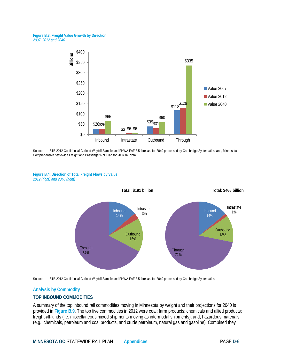#### **Figure B.3: Freight Value Growth by Direction**  *2007, 2012 and 2040*



Source: STB 2012 Confidential Carload Waybill Sample and FHWA FAF 3.5 forecast for 2040 processed by Cambridge Systematics; and, Minnesota Comprehensive Statewide Freight and Passenger Rail Plan for 2007 rail data.

#### **Figure B.4: Direction of Total Freight Flows by Value** *2012 (right) and 2040 (right)*





# **Analysis by Commodity**

# **TOP INBOUND COMMODITIES**

A summary of the top inbound rail commodities moving in Minnesota by weight and their projections for 2040 is provided in **Figure B.9**. The top five commodities in 2012 were coal; farm products; chemicals and allied products; freight-all-kinds (i.e. miscellaneous mixed shipments moving as intermodal shipments); and, hazardous materials (e.g., chemicals, petroleum and coal products, and crude petroleum, natural gas and gasoline). Combined they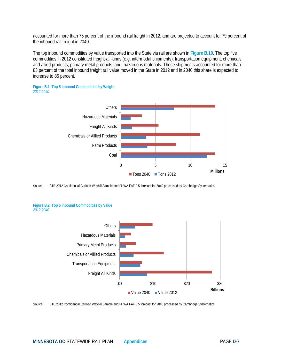accounted for more than 75 percent of the inbound rail freight in 2012, and are projected to account for 79 percent of the inbound rail freight in 2040.

The top inbound commodities by value transported into the State via rail are shown in **Figure B.10**. The top five commodities in 2012 constituted freight-all-kinds (e.g. intermodal shipments); transportation equipment; chemicals and allied products; primary metal products; and, hazardous materials. These shipments accounted for more than 83 percent of the total inbound freight rail value moved in the State in 2012 and in 2040 this share is expected to increase to 85 percent.





Source: STB 2012 Confidential Carload Waybill Sample and FHWA FAF 3.5 forecast for 2040 processed by Cambridge Systematics.





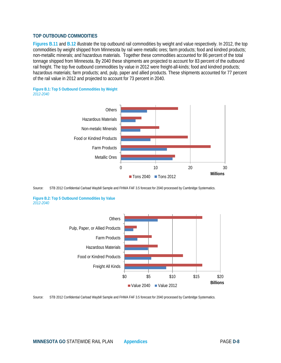### **TOP OUTBOUND COMMODITIES**

**Figures B.11** and **B.12** illustrate the top outbound rail commodities by weight and value respectively. In 2012, the top commodities by weight shipped from Minnesota by rail were metallic ores; farm products; food and kindred products; non-metallic minerals; and hazardous materials. Together these commodities accounted for 86 percent of the total tonnage shipped from Minnesota. By 2040 these shipments are projected to account for 83 percent of the outbound rail freight. The top five outbound commodities by value in 2012 were freight-all-kinds; food and kindred products; hazardous materials; farm products; and, pulp, paper and allied products. These shipments accounted for 77 percent of the rail value in 2012 and projected to account for 73 percent in 2040.





Source: STB 2012 Confidential Carload Waybill Sample and FHWA FAF 3.5 forecast for 2040 processed by Cambridge Systematics.

**Figure B.2: Top 5 Outbound Commodities by Value** *2012-2040*



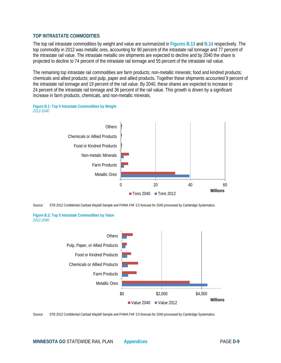# **TOP INTRASTATE COMMODITIES**

The top rail intrastate commodities by weight and value are summarized in **Figures B.13** and **B.14** respectively. The top commodity in 2012 was metallic ores, accounting for 90 percent of the intrastate rail tonnage and 77 percent of the intrastate rail value. The intrastate metallic ore shipments are expected to decline and by 2040 the share is projected to decline to 74 percent of the intrastate rail tonnage and 55 percent of the intrastate rail value.

The remaining top intrastate rail commodities are farm products; non-metallic minerals; food and kindred products; chemicals and allied products; and pulp, paper and allied products. Together these shipments accounted 9 percent of the intrastate rail tonnage and 19 percent of the rail value. By 2040, these shares are expected to increase to 24 percent of the intrastate rail tonnage and 36 percent of the rail value. This growth is driven by a significant increase in farm products, chemicals, and non-metallic minerals.





Source: STB 2012 Confidential Carload Waybill Sample and FHWA FAF 3.5 forecast for 2040 processed by Cambridge Systematics.





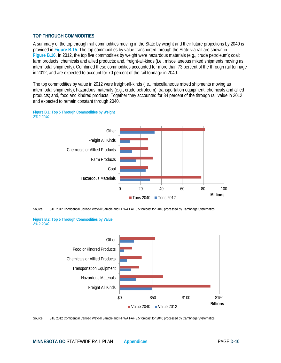## **TOP THROUGH COMMODITIES**

A summary of the top through rail commodities moving in the State by weight and their future projections by 2040 is provided in **Figure B.15**. The top commodities by value transported through the State via rail are shown in **Figure B.16**. In 2012, the top five commodities by weight were hazardous materials (e.g., crude petroleum); coal; farm products; chemicals and allied products; and, freight-all-kinds (i.e., miscellaneous mixed shipments moving as intermodal shipments). Combined these commodities accounted for more than 73 percent of the through rail tonnage in 2012, and are expected to account for 70 percent of the rail tonnage in 2040.

The top commodities by value in 2012 were freight-all-kinds (i.e., miscellaneous mixed shipments moving as intermodal shipments); hazardous materials (e.g., crude petroleum); transportation equipment; chemicals and allied products; and, food and kindred products. Together they accounted for 84 percent of the through rail value in 2012 and expected to remain constant through 2040.







**Figure B.2: Top 5 Through Commodities by Value** *2012-2040*



Source: STB 2012 Confidential Carload Waybill Sample and FHWA FAF 3.5 forecast for 2040 processed by Cambridge Systematics.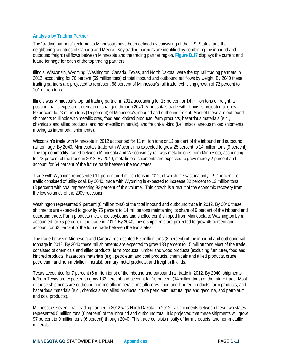# **Analysis by Trading Partner**

The "trading partners" (external to Minnesota) have been defined as consisting of the U.S. States, and the neighboring countries of Canada and Mexico. Key trading partners are identified by combining the inbound and outbound freight rail flows between Minnesota and the trading partner region. **Figure B.17** displays the current and future tonnage for each of the top trading partners.

Illinois, Wisconsin, Wyoming, Washington, Canada, Texas, and North Dakota, were the top rail trading partners in 2012, accounting for 70 percent (59 million tons) of total inbound and outbound rail flows by weight. By 2040 these trading partners are projected to represent 68 percent of Minnesota's rail trade, exhibiting growth of 72 percent to 101 million tons.

Illinois was Minnesota's top rail trading partner in 2012 accounting for 16 percent or 14 million tons of freight, a position that is expected to remain unchanged through 2040. Minnesota's trade with Illinois is projected to grow 69 percent to 23 million tons (15 percent) of Minnesota's inbound and outbound freight. Most of these are outbound shipments to Illinois with metallic ores, food and kindred products, farm products, hazardous materials (e.g., chemicals and allied products, and non-metallic minerals), and freight-all-kind (i.e., miscellaneous mixed shipments moving as intermodal shipments).

Wisconsin's trade with Minnesota in 2012 accounted for 11 million tons or 13 percent of the inbound and outbound rail tonnage. By 2040, Minnesota's trade with Wisconsin is expected to grow 25 percent to 14 million tons (9 percent). The top commodity traded between Minnesota and Wisconsin by rail was metallic ores from Minnesota, accounting for 78 percent of the trade in 2012. By 2040, metallic ore shipments are expected to grow merely 2 percent and account for 64 percent of the future trade between the two states.

Trade with Wyoming represented 11 percent or 9 million tons in 2012, of which the vast majority – 92 percent - of traffic consisted of utility coal. By 2040, trade with Wyoming is expected to increase 32 percent to 12 million tons (8 percent) with coal representing 92 percent of this volume. This growth is a result of the economic recovery from the low volumes of the 2009 recession.

Washington represented 9 percent (8 million tons) of the total inbound and outbound trade in 2012. By 2040 these shipments are expected to grow by 75 percent to 14 million tons maintaining its share of 9 percent of the inbound and outbound trade. Farm products (i.e., dried soybeans and shelled corn) shipped from Minnesota to Washington by rail accounted for 75 percent of the trade in 2012. By 2040, these shipments are projected to grow 46 percent and account for 62 percent of the future trade between the two states.

The trade between Minnesota and Canada represented 6.5 million tons (8 percent) of the inbound and outbound rail tonnage in 2012. By 2040 these rail shipments are expected to grow 133 percent to 15 million tons Most of the trade consisted of chemicals and allied products, farm products, lumber and wood products (excluding furniture), food and kindred products, hazardous materials (e.g., petroleum and coal products, chemicals and allied products, crude petroleum, and non-metallic minerals), primary metal products, and freight-all-kinds.

Texas accounted for 7 percent (6 million tons) of the inbound and outbound rail trade in 2012. By 2040, shipments to/from Texas are expected to grow 132 percent and account for 10 percent (14 million tons) of the future trade. Most of these shipments are outbound non-metallic minerals, metallic ores, food and kindred products, farm products, and hazardous materials (e.g., chemicals and allied products, crude petroleum, natural gas and gasoline, and petroleum and coal products).

Minnesota's seventh rail trading partner in 2012 was North Dakota. In 2012, rail shipments between these two states represented 5 million tons (6 percent) of the inbound and outbound total. It is projected that these shipments will grow 97 percent to 9 million tons (6 percent) through 2040. This trade consists mostly of farm products, and non-metallic minerals.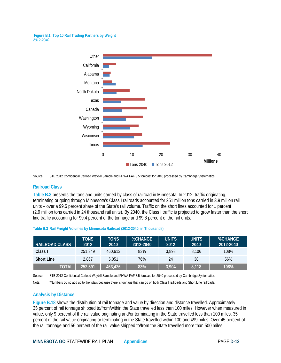**Figure B.1: Top 10 Rail Trading Partners by Weight** *2012-2040*



Source: STB 2012 Confidential Carload Waybill Sample and FHWA FAF 3.5 forecast for 2040 processed by Cambridge Systematics.

# **Railroad Class**

**Table B.3** presents the tons and units carried by class of railroad in Minnesota. In 2012, traffic originating, terminating or going through Minnesota's Class I railroads accounted for 251 million tons carried in 3.9 million rail units – over a 99.5 percent share of the State's rail volume. Traffic on the short lines accounted for 1 percent (2.9 million tons carried in 24 thousand rail units). By 2040, the Class I traffic is projected to grow faster than the short line traffic accounting for 99.4 percent of the tonnage and 99.8 percent of the rail units.

| <b>RAILROAD CLASS</b> | <b>TONS</b><br>2012 | TONS<br>2040 | <b>%CHANGE</b><br>2012-2040 | <b>UNITS</b><br>2012 | <b>UNITS</b><br>2040 | <b>%CHANGE</b><br>2012-2040 |
|-----------------------|---------------------|--------------|-----------------------------|----------------------|----------------------|-----------------------------|
|                       |                     |              |                             |                      |                      |                             |
| Class I               | 251.349             | 460.613      | 83%                         | 3.898                | 8.106                | 108%                        |
| <b>Short Line</b>     | 2.867               | 5.051        | 76%                         | 24                   | 38                   | 56%                         |
| <b>TOTAL</b>          | 252,591             | 463,426      | 83%                         | 3,904                | 8,118                | 108%                        |

**Table B.3 Rail Freight Volumes by Minnesota Railroad (2012-2040, in Thousands)**

Source: STB 2012 Confidential Carload Waybill Sample and FHWA FAF 3.5 forecast for 2040 processed by Cambridge Systematics.

Note: \*Numbers do no add up to the totals because there is tonnage that can go on both Class I railroads and Short Line railroads.

# **Analysis by Distance**

**Figure B.18** shows the distribution of rail tonnage and value by direction and distance travelled. Approximately 35 percent of rail tonnage shipped to/from/within the State travelled less than 100 miles. However when measured in value, only 9 percent of the rail value originating and/or terminating in the State travelled less than 100 miles. 35 percent of the rail value originating or terminating in the State travelled within 100 and 499 miles. Over 45 percent of the rail tonnage and 56 percent of the rail value shipped to/from the State travelled more than 500 miles.